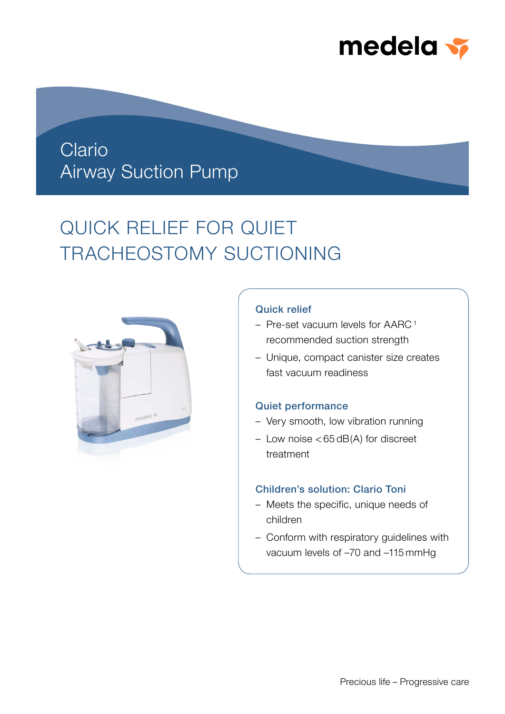

## Clario Airway Suction Pump

# QUICK RELIEF FOR QUIET TRACHEOSTOMY SUCTIONING



### Quick relief

- Pre-set vacuum levels for AARC <sup>1</sup> recommended suction strength
- Unique, compact canister size creates fast vacuum readiness

## Quiet performance

- Very smooth, low vibration running
- Low noise < 65 dB(A) for discreet treatment

## Children's solution: Clario Toni

- Meets the specific, unique needs of children
- Conform with respiratory guidelines with vacuum levels of –70 and –115 mmHg